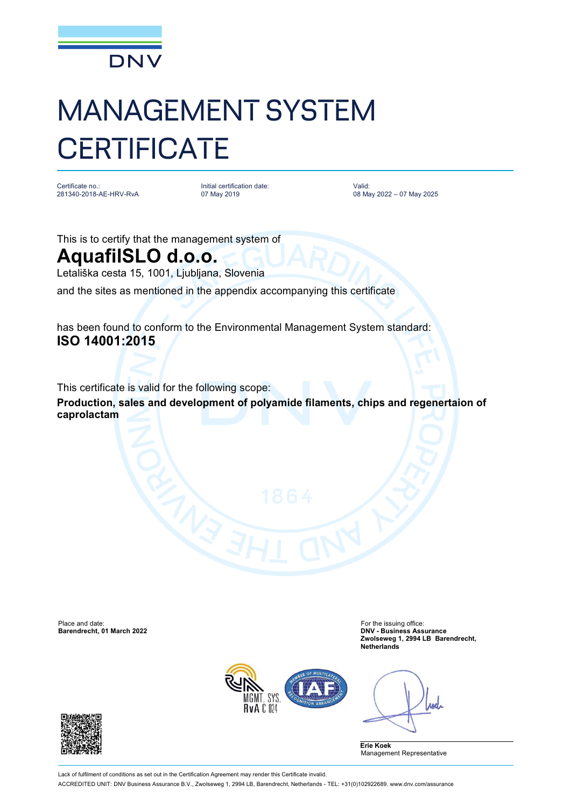

## MANAGEMENT SYSTEM **CERTIFICATE**

Certificate no.: 281340-2018-AE-HRV-RvA Initial certification date: 07 May 2019

Valid: 08 May 2022 – 07 May 2025

This is to certify that the management system of

## **AquafilSLO d.o.o.**

Letališka cesta 15, 1001, Ljubljana, Slovenia

and the sites as mentioned in the appendix accompanying this certificate

has been found to conform to the Environmental Management System standard: **ISO 14001:2015**

This certificate is valid for the following scope:

**Production, sales and development of polyamide filaments, chips and regenertaion of caprolactam**

Place and date: For the issuing office: For the issuing office: **Barendrecht, 01 March 2022** 

**Zwolseweg 1, 2994 LB Barendrecht, Netherlands**



Anel

**Erie Koek** Management Representative